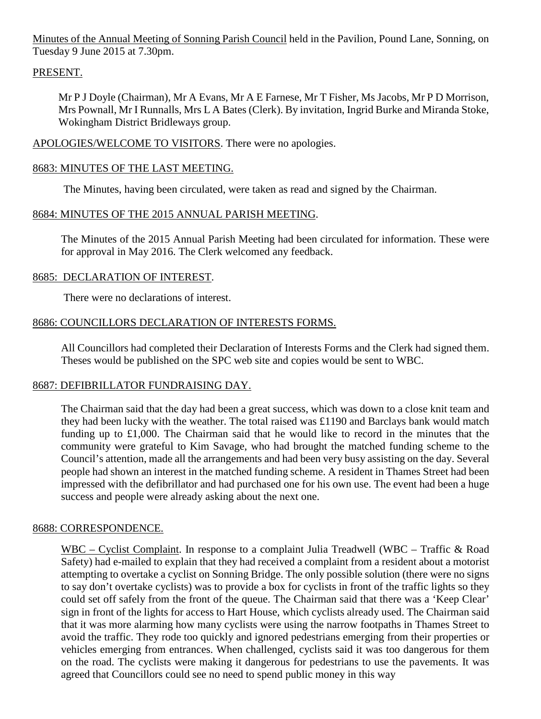Minutes of the Annual Meeting of Sonning Parish Council held in the Pavilion, Pound Lane, Sonning, on Tuesday 9 June 2015 at 7.30pm.

## PRESENT.

Mr P J Doyle (Chairman), Mr A Evans, Mr A E Farnese, Mr T Fisher, Ms Jacobs, Mr P D Morrison, Mrs Pownall, Mr I Runnalls, Mrs L A Bates (Clerk). By invitation, Ingrid Burke and Miranda Stoke, Wokingham District Bridleways group.

APOLOGIES/WELCOME TO VISITORS. There were no apologies.

# 8683: MINUTES OF THE LAST MEETING.

The Minutes, having been circulated, were taken as read and signed by the Chairman.

# 8684: MINUTES OF THE 2015 ANNUAL PARISH MEETING.

The Minutes of the 2015 Annual Parish Meeting had been circulated for information. These were for approval in May 2016. The Clerk welcomed any feedback.

## 8685: DECLARATION OF INTEREST.

There were no declarations of interest.

# 8686: COUNCILLORS DECLARATION OF INTERESTS FORMS.

All Councillors had completed their Declaration of Interests Forms and the Clerk had signed them. Theses would be published on the SPC web site and copies would be sent to WBC.

## 8687: DEFIBRILLATOR FUNDRAISING DAY.

The Chairman said that the day had been a great success, which was down to a close knit team and they had been lucky with the weather. The total raised was £1190 and Barclays bank would match funding up to £1,000. The Chairman said that he would like to record in the minutes that the community were grateful to Kim Savage, who had brought the matched funding scheme to the Council's attention, made all the arrangements and had been very busy assisting on the day. Several people had shown an interest in the matched funding scheme. A resident in Thames Street had been impressed with the defibrillator and had purchased one for his own use. The event had been a huge success and people were already asking about the next one.

## 8688: CORRESPONDENCE.

WBC – Cyclist Complaint. In response to a complaint Julia Treadwell (WBC – Traffic & Road Safety) had e-mailed to explain that they had received a complaint from a resident about a motorist attempting to overtake a cyclist on Sonning Bridge. The only possible solution (there were no signs to say don't overtake cyclists) was to provide a box for cyclists in front of the traffic lights so they could set off safely from the front of the queue. The Chairman said that there was a 'Keep Clear' sign in front of the lights for access to Hart House, which cyclists already used. The Chairman said that it was more alarming how many cyclists were using the narrow footpaths in Thames Street to avoid the traffic. They rode too quickly and ignored pedestrians emerging from their properties or vehicles emerging from entrances. When challenged, cyclists said it was too dangerous for them on the road. The cyclists were making it dangerous for pedestrians to use the pavements. It was agreed that Councillors could see no need to spend public money in this way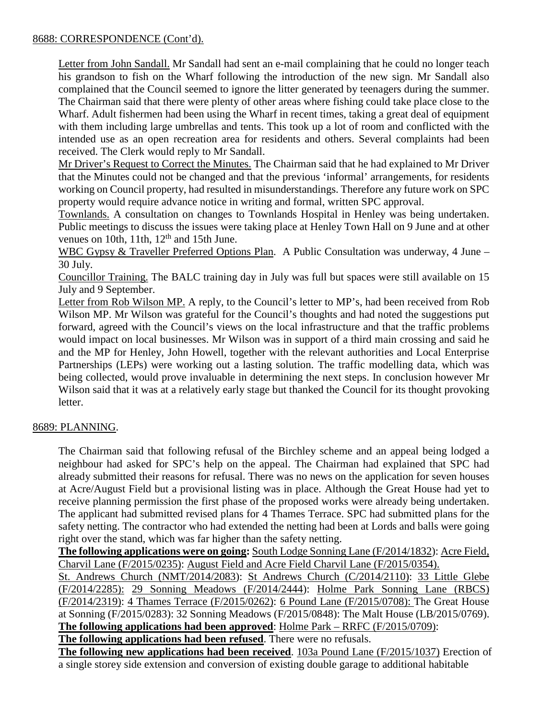### 8688: CORRESPONDENCE (Cont'd).

Letter from John Sandall. Mr Sandall had sent an e-mail complaining that he could no longer teach his grandson to fish on the Wharf following the introduction of the new sign. Mr Sandall also complained that the Council seemed to ignore the litter generated by teenagers during the summer. The Chairman said that there were plenty of other areas where fishing could take place close to the Wharf. Adult fishermen had been using the Wharf in recent times, taking a great deal of equipment with them including large umbrellas and tents. This took up a lot of room and conflicted with the intended use as an open recreation area for residents and others. Several complaints had been received. The Clerk would reply to Mr Sandall.

Mr Driver's Request to Correct the Minutes. The Chairman said that he had explained to Mr Driver that the Minutes could not be changed and that the previous 'informal' arrangements, for residents working on Council property, had resulted in misunderstandings. Therefore any future work on SPC property would require advance notice in writing and formal, written SPC approval.

Townlands. A consultation on changes to Townlands Hospital in Henley was being undertaken. Public meetings to discuss the issues were taking place at Henley Town Hall on 9 June and at other venues on 10th, 11th,  $12<sup>th</sup>$  and 15th June.

WBC Gypsy & Traveller Preferred Options Plan. A Public Consultation was underway, 4 June – 30 July.

Councillor Training. The BALC training day in July was full but spaces were still available on 15 July and 9 September.

Letter from Rob Wilson MP. A reply, to the Council's letter to MP's, had been received from Rob Wilson MP. Mr Wilson was grateful for the Council's thoughts and had noted the suggestions put forward, agreed with the Council's views on the local infrastructure and that the traffic problems would impact on local businesses. Mr Wilson was in support of a third main crossing and said he and the MP for Henley, John Howell, together with the relevant authorities and Local Enterprise Partnerships (LEPs) were working out a lasting solution. The traffic modelling data, which was being collected, would prove invaluable in determining the next steps. In conclusion however Mr Wilson said that it was at a relatively early stage but thanked the Council for its thought provoking letter.

## 8689: PLANNING.

The Chairman said that following refusal of the Birchley scheme and an appeal being lodged a neighbour had asked for SPC's help on the appeal. The Chairman had explained that SPC had already submitted their reasons for refusal. There was no news on the application for seven houses at Acre/August Field but a provisional listing was in place. Although the Great House had yet to receive planning permission the first phase of the proposed works were already being undertaken. The applicant had submitted revised plans for 4 Thames Terrace. SPC had submitted plans for the safety netting. The contractor who had extended the netting had been at Lords and balls were going right over the stand, which was far higher than the safety netting.

**The following applications were on going:** South Lodge Sonning Lane (F/2014/1832): Acre Field, Charvil Lane (F/2015/0235): August Field and Acre Field Charvil Lane (F/2015/0354).

St. Andrews Church (NMT/2014/2083): St Andrews Church (C/2014/2110): 33 Little Glebe (F/2014/2285): 29 Sonning Meadows (F/2014/2444): Holme Park Sonning Lane (RBCS) (F/2014/2319): 4 Thames Terrace (F/2015/0262): 6 Pound Lane (F/2015/0708): The Great House at Sonning (F/2015/0283): 32 Sonning Meadows (F/2015/0848): The Malt House (LB/2015/0769). **The following applications had been approved**: Holme Park – RRFC (F/2015/0709):

**The following applications had been refused**. There were no refusals.

**The following new applications had been received**. 103a Pound Lane (F/2015/1037) Erection of a single storey side extension and conversion of existing double garage to additional habitable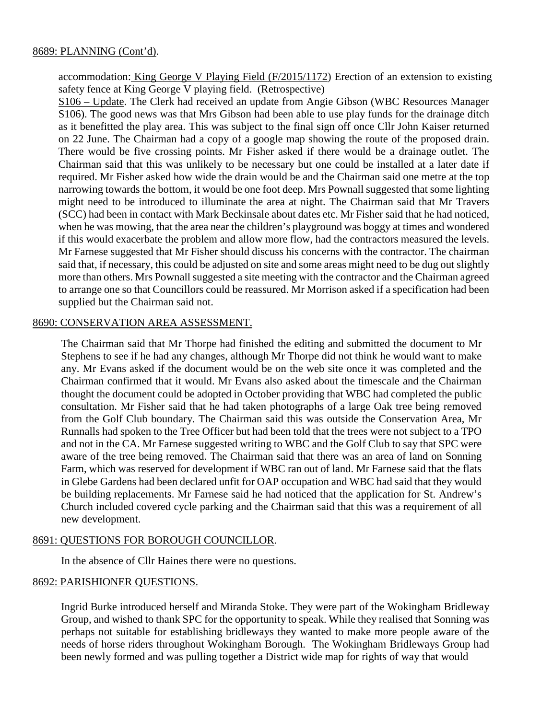accommodation: King George V Playing Field (F/2015/1172) Erection of an extension to existing safety fence at King George V playing field. (Retrospective)

S106 – Update. The Clerk had received an update from Angie Gibson (WBC Resources Manager S106). The good news was that Mrs Gibson had been able to use play funds for the drainage ditch as it benefitted the play area. This was subject to the final sign off once Cllr John Kaiser returned on 22 June. The Chairman had a copy of a google map showing the route of the proposed drain. There would be five crossing points. Mr Fisher asked if there would be a drainage outlet. The Chairman said that this was unlikely to be necessary but one could be installed at a later date if required. Mr Fisher asked how wide the drain would be and the Chairman said one metre at the top narrowing towards the bottom, it would be one foot deep. Mrs Pownall suggested that some lighting might need to be introduced to illuminate the area at night. The Chairman said that Mr Travers (SCC) had been in contact with Mark Beckinsale about dates etc. Mr Fisher said that he had noticed, when he was mowing, that the area near the children's playground was boggy at times and wondered if this would exacerbate the problem and allow more flow, had the contractors measured the levels. Mr Farnese suggested that Mr Fisher should discuss his concerns with the contractor. The chairman said that, if necessary, this could be adjusted on site and some areas might need to be dug out slightly more than others. Mrs Pownall suggested a site meeting with the contractor and the Chairman agreed to arrange one so that Councillors could be reassured. Mr Morrison asked if a specification had been supplied but the Chairman said not.

#### 8690: CONSERVATION AREA ASSESSMENT.

The Chairman said that Mr Thorpe had finished the editing and submitted the document to Mr Stephens to see if he had any changes, although Mr Thorpe did not think he would want to make any. Mr Evans asked if the document would be on the web site once it was completed and the Chairman confirmed that it would. Mr Evans also asked about the timescale and the Chairman thought the document could be adopted in October providing that WBC had completed the public consultation. Mr Fisher said that he had taken photographs of a large Oak tree being removed from the Golf Club boundary. The Chairman said this was outside the Conservation Area, Mr Runnalls had spoken to the Tree Officer but had been told that the trees were not subject to a TPO and not in the CA. Mr Farnese suggested writing to WBC and the Golf Club to say that SPC were aware of the tree being removed. The Chairman said that there was an area of land on Sonning Farm, which was reserved for development if WBC ran out of land. Mr Farnese said that the flats in Glebe Gardens had been declared unfit for OAP occupation and WBC had said that they would be building replacements. Mr Farnese said he had noticed that the application for St. Andrew's Church included covered cycle parking and the Chairman said that this was a requirement of all new development.

#### 8691: QUESTIONS FOR BOROUGH COUNCILLOR.

In the absence of Cllr Haines there were no questions.

#### 8692: PARISHIONER QUESTIONS.

Ingrid Burke introduced herself and Miranda Stoke. They were part of the Wokingham Bridleway Group, and wished to thank SPC for the opportunity to speak. While they realised that Sonning was perhaps not suitable for establishing bridleways they wanted to make more people aware of the needs of horse riders throughout Wokingham Borough. The Wokingham Bridleways Group had been newly formed and was pulling together a District wide map for rights of way that would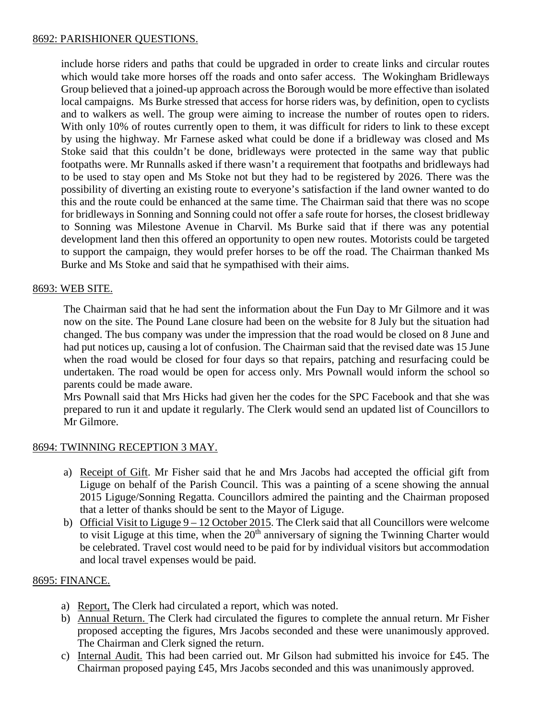### 8692: PARISHIONER QUESTIONS.

include horse riders and paths that could be upgraded in order to create links and circular routes which would take more horses off the roads and onto safer access. The Wokingham Bridleways Group believed that a joined-up approach across the Borough would be more effective than isolated local campaigns. Ms Burke stressed that access for horse riders was, by definition, open to cyclists and to walkers as well. The group were aiming to increase the number of routes open to riders. With only 10% of routes currently open to them, it was difficult for riders to link to these except by using the highway. Mr Farnese asked what could be done if a bridleway was closed and Ms Stoke said that this couldn't be done, bridleways were protected in the same way that public footpaths were. Mr Runnalls asked if there wasn't a requirement that footpaths and bridleways had to be used to stay open and Ms Stoke not but they had to be registered by 2026. There was the possibility of diverting an existing route to everyone's satisfaction if the land owner wanted to do this and the route could be enhanced at the same time. The Chairman said that there was no scope for bridleways in Sonning and Sonning could not offer a safe route for horses, the closest bridleway to Sonning was Milestone Avenue in Charvil. Ms Burke said that if there was any potential development land then this offered an opportunity to open new routes. Motorists could be targeted to support the campaign, they would prefer horses to be off the road. The Chairman thanked Ms Burke and Ms Stoke and said that he sympathised with their aims.

### 8693: WEB SITE.

The Chairman said that he had sent the information about the Fun Day to Mr Gilmore and it was now on the site. The Pound Lane closure had been on the website for 8 July but the situation had changed. The bus company was under the impression that the road would be closed on 8 June and had put notices up, causing a lot of confusion. The Chairman said that the revised date was 15 June when the road would be closed for four days so that repairs, patching and resurfacing could be undertaken. The road would be open for access only. Mrs Pownall would inform the school so parents could be made aware.

Mrs Pownall said that Mrs Hicks had given her the codes for the SPC Facebook and that she was prepared to run it and update it regularly. The Clerk would send an updated list of Councillors to Mr Gilmore.

## 8694: TWINNING RECEPTION 3 MAY.

- a) Receipt of Gift. Mr Fisher said that he and Mrs Jacobs had accepted the official gift from Liguge on behalf of the Parish Council. This was a painting of a scene showing the annual 2015 Liguge/Sonning Regatta. Councillors admired the painting and the Chairman proposed that a letter of thanks should be sent to the Mayor of Liguge.
- b) Official Visit to Liguge  $9 12$  October 2015. The Clerk said that all Councillors were welcome to visit Liguge at this time, when the  $20<sup>th</sup>$  anniversary of signing the Twinning Charter would be celebrated. Travel cost would need to be paid for by individual visitors but accommodation and local travel expenses would be paid.

#### 8695: FINANCE.

- a) Report, The Clerk had circulated a report, which was noted.
- b) Annual Return. The Clerk had circulated the figures to complete the annual return. Mr Fisher proposed accepting the figures, Mrs Jacobs seconded and these were unanimously approved. The Chairman and Clerk signed the return.
- c) Internal Audit. This had been carried out. Mr Gilson had submitted his invoice for £45. The Chairman proposed paying £45, Mrs Jacobs seconded and this was unanimously approved.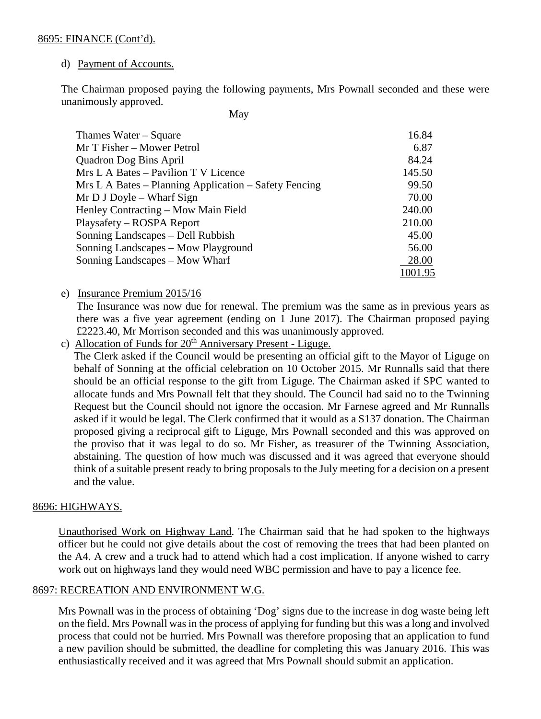### d) Payment of Accounts.

The Chairman proposed paying the following payments, Mrs Pownall seconded and these were unanimously approved.

**May** 

| Thames Water – Square                                 | 16.84   |
|-------------------------------------------------------|---------|
| Mr T Fisher – Mower Petrol                            | 6.87    |
| <b>Quadron Dog Bins April</b>                         | 84.24   |
| Mrs L A Bates – Pavilion T V Licence                  | 145.50  |
| Mrs L A Bates – Planning Application – Safety Fencing | 99.50   |
| $Mr D J Doyle - What F Sign$                          | 70.00   |
| Henley Contracting – Mow Main Field                   | 240.00  |
| Playsafety – ROSPA Report                             | 210.00  |
| Sonning Landscapes – Dell Rubbish                     | 45.00   |
| Sonning Landscapes – Mow Playground                   | 56.00   |
| Sonning Landscapes – Mow Wharf                        | 28.00   |
|                                                       | 1001.95 |

e) Insurance Premium 2015/16

The Insurance was now due for renewal. The premium was the same as in previous years as there was a five year agreement (ending on 1 June 2017). The Chairman proposed paying £2223.40, Mr Morrison seconded and this was unanimously approved.

c) Allocation of Funds for 20<sup>th</sup> Anniversary Present - Liguge.

The Clerk asked if the Council would be presenting an official gift to the Mayor of Liguge on behalf of Sonning at the official celebration on 10 October 2015. Mr Runnalls said that there should be an official response to the gift from Liguge. The Chairman asked if SPC wanted to allocate funds and Mrs Pownall felt that they should. The Council had said no to the Twinning Request but the Council should not ignore the occasion. Mr Farnese agreed and Mr Runnalls asked if it would be legal. The Clerk confirmed that it would as a S137 donation. The Chairman proposed giving a reciprocal gift to Liguge, Mrs Pownall seconded and this was approved on the proviso that it was legal to do so. Mr Fisher, as treasurer of the Twinning Association, abstaining. The question of how much was discussed and it was agreed that everyone should think of a suitable present ready to bring proposals to the July meeting for a decision on a present and the value.

#### 8696: HIGHWAYS.

Unauthorised Work on Highway Land. The Chairman said that he had spoken to the highways officer but he could not give details about the cost of removing the trees that had been planted on the A4. A crew and a truck had to attend which had a cost implication. If anyone wished to carry work out on highways land they would need WBC permission and have to pay a licence fee.

### 8697: RECREATION AND ENVIRONMENT W.G.

Mrs Pownall was in the process of obtaining 'Dog' signs due to the increase in dog waste being left on the field. Mrs Pownall was in the process of applying for funding but this was a long and involved process that could not be hurried. Mrs Pownall was therefore proposing that an application to fund a new pavilion should be submitted, the deadline for completing this was January 2016. This was enthusiastically received and it was agreed that Mrs Pownall should submit an application.